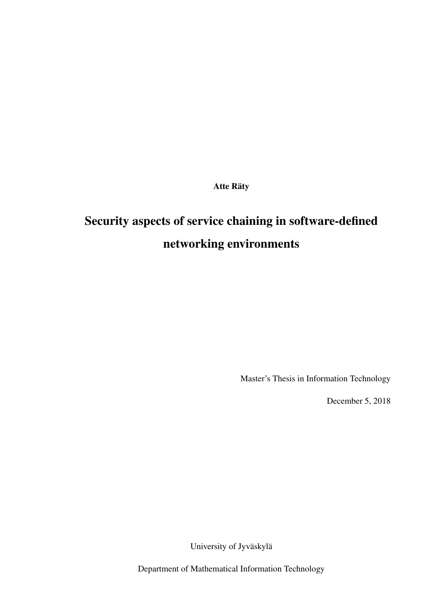Atte Räty

# Security aspects of service chaining in software-defined networking environments

Master's Thesis in Information Technology

December 5, 2018

University of Jyväskylä

Department of Mathematical Information Technology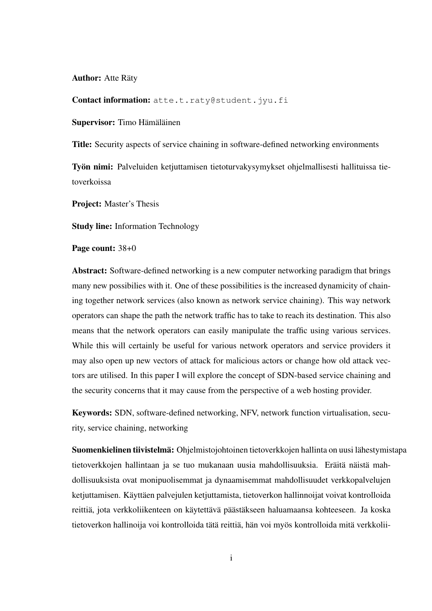Author: Atte Räty

Contact information: atte.t.raty@student.jyu.fi

Supervisor: Timo Hämäläinen

Title: Security aspects of service chaining in software-defined networking environments

Työn nimi: Palveluiden ketjuttamisen tietoturvakysymykset ohjelmallisesti hallituissa tietoverkoissa

Project: Master's Thesis

Study line: Information Technology

Page count: 38+0

Abstract: Software-defined networking is a new computer networking paradigm that brings many new possibilies with it. One of these possibilities is the increased dynamicity of chaining together network services (also known as network service chaining). This way network operators can shape the path the network traffic has to take to reach its destination. This also means that the network operators can easily manipulate the traffic using various services. While this will certainly be useful for various network operators and service providers it may also open up new vectors of attack for malicious actors or change how old attack vectors are utilised. In this paper I will explore the concept of SDN-based service chaining and the security concerns that it may cause from the perspective of a web hosting provider.

Keywords: SDN, software-defined networking, NFV, network function virtualisation, security, service chaining, networking

Suomenkielinen tiivistelmä: Ohjelmistojohtoinen tietoverkkojen hallinta on uusi lähestymistapa tietoverkkojen hallintaan ja se tuo mukanaan uusia mahdollisuuksia. Eräitä näistä mahdollisuuksista ovat monipuolisemmat ja dynaamisemmat mahdollisuudet verkkopalvelujen ketjuttamisen. Käyttäen palvejulen ketjuttamista, tietoverkon hallinnoijat voivat kontrolloida reittiä, jota verkkoliikenteen on käytettävä päästäkseen haluamaansa kohteeseen. Ja koska tietoverkon hallinoija voi kontrolloida tätä reittiä, hän voi myös kontrolloida mitä verkkolii-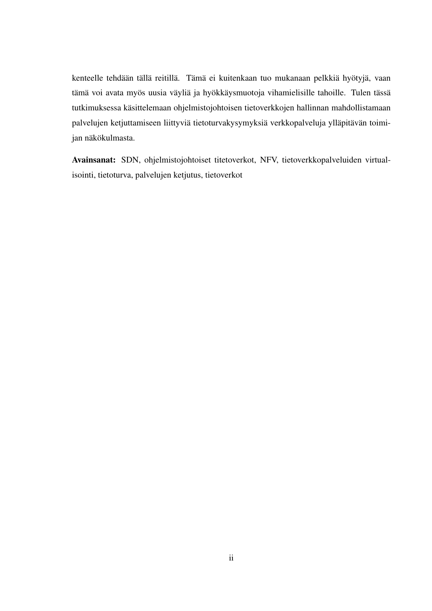kenteelle tehdään tällä reitillä. Tämä ei kuitenkaan tuo mukanaan pelkkiä hyötyjä, vaan tämä voi avata myös uusia väyliä ja hyökkäysmuotoja vihamielisille tahoille. Tulen tässä tutkimuksessa käsittelemaan ohjelmistojohtoisen tietoverkkojen hallinnan mahdollistamaan palvelujen ketjuttamiseen liittyviä tietoturvakysymyksiä verkkopalveluja ylläpitävän toimijan näkökulmasta.

Avainsanat: SDN, ohjelmistojohtoiset titetoverkot, NFV, tietoverkkopalveluiden virtualisointi, tietoturva, palvelujen ketjutus, tietoverkot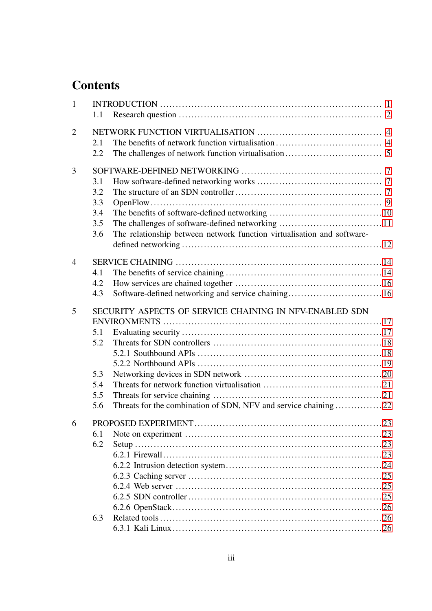# **Contents**

| $\mathbf{1}$   | 1.1                                    |                                                                                                                            |             |  |  |  |  |
|----------------|----------------------------------------|----------------------------------------------------------------------------------------------------------------------------|-------------|--|--|--|--|
| $\overline{2}$ | 2.1<br>2.2                             |                                                                                                                            |             |  |  |  |  |
| 3              | 3.1<br>3.2<br>3.3<br>3.4<br>3.5<br>3.6 | The relationship between network function virtualisation and software-                                                     |             |  |  |  |  |
| $\overline{4}$ | 4.1<br>4.2<br>4.3                      | Software-defined networking and service chaining 16                                                                        |             |  |  |  |  |
| 5              | 5.1<br>5.2<br>5.3<br>5.4<br>5.5<br>5.6 | SECURITY ASPECTS OF SERVICE CHAINING IN NFV-ENABLED SDN<br>Threats for the combination of SDN, NFV and service chaining 22 |             |  |  |  |  |
| 6.             | 6.1<br>6.2<br>6.3                      | PROPOSED EXPERIMENT                                                                                                        | $\ldots$ 23 |  |  |  |  |
|                |                                        |                                                                                                                            |             |  |  |  |  |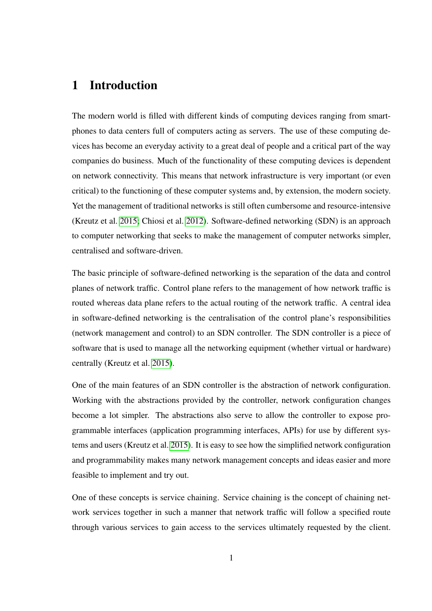# <span id="page-5-0"></span>1 Introduction

The modern world is filled with different kinds of computing devices ranging from smartphones to data centers full of computers acting as servers. The use of these computing devices has become an everyday activity to a great deal of people and a critical part of the way companies do business. Much of the functionality of these computing devices is dependent on network connectivity. This means that network infrastructure is very important (or even critical) to the functioning of these computer systems and, by extension, the modern society. Yet the management of traditional networks is still often cumbersome and resource-intensive (Kreutz et al. [2015;](#page-37-0) Chiosi et al. [2012\)](#page-36-1). Software-defined networking (SDN) is an approach to computer networking that seeks to make the management of computer networks simpler, centralised and software-driven.

The basic principle of software-defined networking is the separation of the data and control planes of network traffic. Control plane refers to the management of how network traffic is routed whereas data plane refers to the actual routing of the network traffic. A central idea in software-defined networking is the centralisation of the control plane's responsibilities (network management and control) to an SDN controller. The SDN controller is a piece of software that is used to manage all the networking equipment (whether virtual or hardware) centrally (Kreutz et al. [2015\)](#page-37-0).

One of the main features of an SDN controller is the abstraction of network configuration. Working with the abstractions provided by the controller, network configuration changes become a lot simpler. The abstractions also serve to allow the controller to expose programmable interfaces (application programming interfaces, APIs) for use by different systems and users (Kreutz et al. [2015\)](#page-37-0). It is easy to see how the simplified network configuration and programmability makes many network management concepts and ideas easier and more feasible to implement and try out.

One of these concepts is service chaining. Service chaining is the concept of chaining network services together in such a manner that network traffic will follow a specified route through various services to gain access to the services ultimately requested by the client.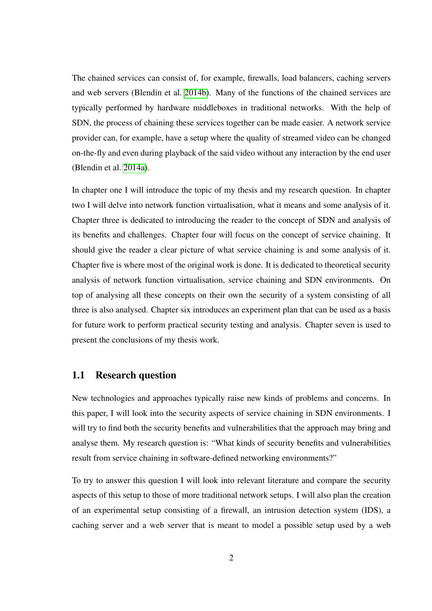The chained services can consist of, for example, firewalls, load balancers, caching servers and web servers (Blendin et al. [2014b\)](#page-36-2). Many of the functions of the chained services are typically performed by hardware middleboxes in traditional networks. With the help of SDN, the process of chaining these services together can be made easier. A network service provider can, for example, have a setup where the quality of streamed video can be changed on-the-fly and even during playback of the said video without any interaction by the end user (Blendin et al. [2014a\)](#page-36-3).

In chapter one I will introduce the topic of my thesis and my research question. In chapter two I will delve into network function virtualisation, what it means and some analysis of it. Chapter three is dedicated to introducing the reader to the concept of SDN and analysis of its benefits and challenges. Chapter four will focus on the concept of service chaining. It should give the reader a clear picture of what service chaining is and some analysis of it. Chapter five is where most of the original work is done. It is dedicated to theoretical security analysis of network function virtualisation, service chaining and SDN environments. On top of analysing all these concepts on their own the security of a system consisting of all three is also analysed. Chapter six introduces an experiment plan that can be used as a basis for future work to perform practical security testing and analysis. Chapter seven is used to present the conclusions of my thesis work.

## <span id="page-6-0"></span>1.1 Research question

New technologies and approaches typically raise new kinds of problems and concerns. In this paper, I will look into the security aspects of service chaining in SDN environments. I will try to find both the security benefits and vulnerabilities that the approach may bring and analyse them. My research question is: "What kinds of security benefits and vulnerabilities result from service chaining in software-defined networking environments?"

To try to answer this question I will look into relevant literature and compare the security aspects of this setup to those of more traditional network setups. I will also plan the creation of an experimental setup consisting of a firewall, an intrusion detection system (IDS), a caching server and a web server that is meant to model a possible setup used by a web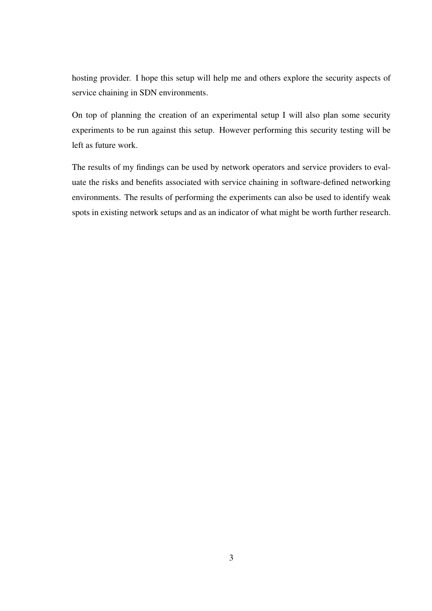hosting provider. I hope this setup will help me and others explore the security aspects of service chaining in SDN environments.

On top of planning the creation of an experimental setup I will also plan some security experiments to be run against this setup. However performing this security testing will be left as future work.

The results of my findings can be used by network operators and service providers to evaluate the risks and benefits associated with service chaining in software-defined networking environments. The results of performing the experiments can also be used to identify weak spots in existing network setups and as an indicator of what might be worth further research.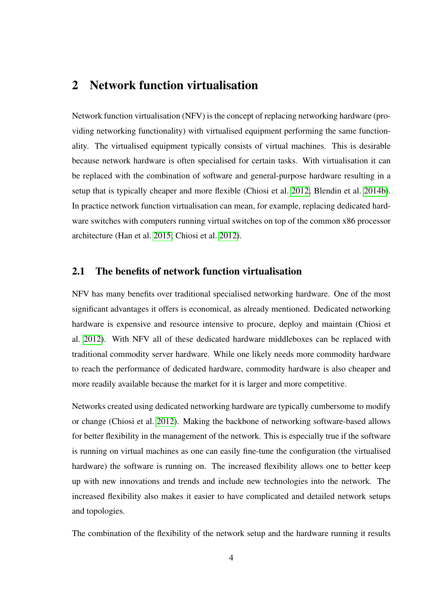# <span id="page-8-0"></span>2 Network function virtualisation

Network function virtualisation (NFV) is the concept of replacing networking hardware (providing networking functionality) with virtualised equipment performing the same functionality. The virtualised equipment typically consists of virtual machines. This is desirable because network hardware is often specialised for certain tasks. With virtualisation it can be replaced with the combination of software and general-purpose hardware resulting in a setup that is typically cheaper and more flexible (Chiosi et al. [2012;](#page-36-1) Blendin et al. [2014b\)](#page-36-2). In practice network function virtualisation can mean, for example, replacing dedicated hardware switches with computers running virtual switches on top of the common x86 processor architecture (Han et al. [2015;](#page-36-4) Chiosi et al. [2012\)](#page-36-1).

## <span id="page-8-1"></span>2.1 The benefits of network function virtualisation

NFV has many benefits over traditional specialised networking hardware. One of the most significant advantages it offers is economical, as already mentioned. Dedicated networking hardware is expensive and resource intensive to procure, deploy and maintain (Chiosi et al. [2012\)](#page-36-1). With NFV all of these dedicated hardware middleboxes can be replaced with traditional commodity server hardware. While one likely needs more commodity hardware to reach the performance of dedicated hardware, commodity hardware is also cheaper and more readily available because the market for it is larger and more competitive.

Networks created using dedicated networking hardware are typically cumbersome to modify or change (Chiosi et al. [2012\)](#page-36-1). Making the backbone of networking software-based allows for better flexibility in the management of the network. This is especially true if the software is running on virtual machines as one can easily fine-tune the configuration (the virtualised hardware) the software is running on. The increased flexibility allows one to better keep up with new innovations and trends and include new technologies into the network. The increased flexibility also makes it easier to have complicated and detailed network setups and topologies.

The combination of the flexibility of the network setup and the hardware running it results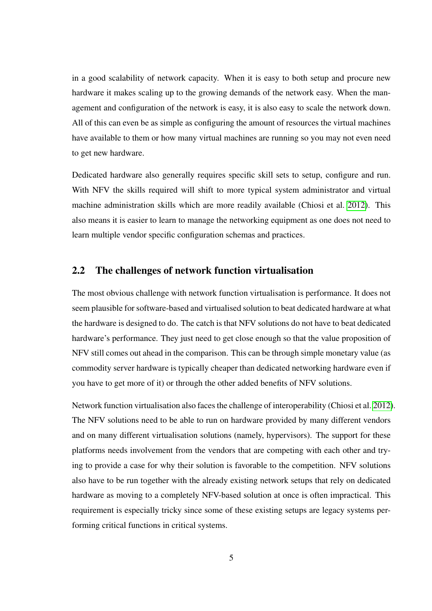in a good scalability of network capacity. When it is easy to both setup and procure new hardware it makes scaling up to the growing demands of the network easy. When the management and configuration of the network is easy, it is also easy to scale the network down. All of this can even be as simple as configuring the amount of resources the virtual machines have available to them or how many virtual machines are running so you may not even need to get new hardware.

Dedicated hardware also generally requires specific skill sets to setup, configure and run. With NFV the skills required will shift to more typical system administrator and virtual machine administration skills which are more readily available (Chiosi et al. [2012\)](#page-36-1). This also means it is easier to learn to manage the networking equipment as one does not need to learn multiple vendor specific configuration schemas and practices.

## <span id="page-9-0"></span>2.2 The challenges of network function virtualisation

The most obvious challenge with network function virtualisation is performance. It does not seem plausible for software-based and virtualised solution to beat dedicated hardware at what the hardware is designed to do. The catch is that NFV solutions do not have to beat dedicated hardware's performance. They just need to get close enough so that the value proposition of NFV still comes out ahead in the comparison. This can be through simple monetary value (as commodity server hardware is typically cheaper than dedicated networking hardware even if you have to get more of it) or through the other added benefits of NFV solutions.

Network function virtualisation also faces the challenge of interoperability (Chiosi et al. [2012\)](#page-36-1). The NFV solutions need to be able to run on hardware provided by many different vendors and on many different virtualisation solutions (namely, hypervisors). The support for these platforms needs involvement from the vendors that are competing with each other and trying to provide a case for why their solution is favorable to the competition. NFV solutions also have to be run together with the already existing network setups that rely on dedicated hardware as moving to a completely NFV-based solution at once is often impractical. This requirement is especially tricky since some of these existing setups are legacy systems performing critical functions in critical systems.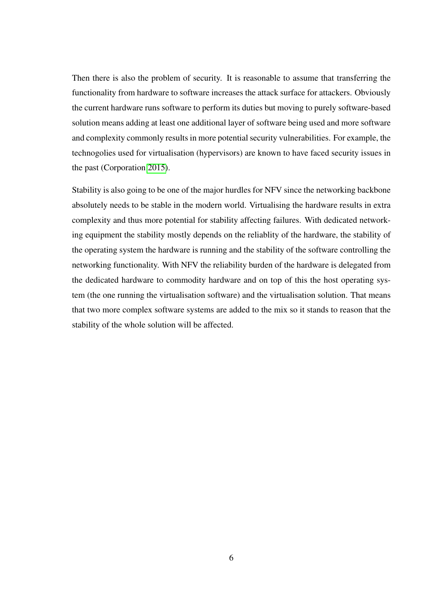Then there is also the problem of security. It is reasonable to assume that transferring the functionality from hardware to software increases the attack surface for attackers. Obviously the current hardware runs software to perform its duties but moving to purely software-based solution means adding at least one additional layer of software being used and more software and complexity commonly results in more potential security vulnerabilities. For example, the technogolies used for virtualisation (hypervisors) are known to have faced security issues in the past (Corporation [2015\)](#page-36-5).

Stability is also going to be one of the major hurdles for NFV since the networking backbone absolutely needs to be stable in the modern world. Virtualising the hardware results in extra complexity and thus more potential for stability affecting failures. With dedicated networking equipment the stability mostly depends on the reliablity of the hardware, the stability of the operating system the hardware is running and the stability of the software controlling the networking functionality. With NFV the reliability burden of the hardware is delegated from the dedicated hardware to commodity hardware and on top of this the host operating system (the one running the virtualisation software) and the virtualisation solution. That means that two more complex software systems are added to the mix so it stands to reason that the stability of the whole solution will be affected.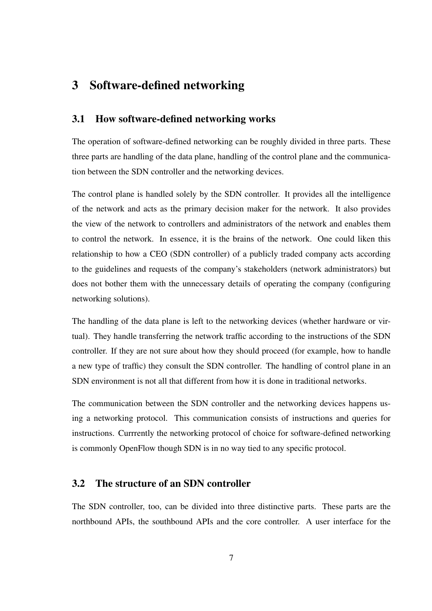# <span id="page-11-0"></span>3 Software-defined networking

## <span id="page-11-1"></span>3.1 How software-defined networking works

The operation of software-defined networking can be roughly divided in three parts. These three parts are handling of the data plane, handling of the control plane and the communication between the SDN controller and the networking devices.

The control plane is handled solely by the SDN controller. It provides all the intelligence of the network and acts as the primary decision maker for the network. It also provides the view of the network to controllers and administrators of the network and enables them to control the network. In essence, it is the brains of the network. One could liken this relationship to how a CEO (SDN controller) of a publicly traded company acts according to the guidelines and requests of the company's stakeholders (network administrators) but does not bother them with the unnecessary details of operating the company (configuring networking solutions).

The handling of the data plane is left to the networking devices (whether hardware or virtual). They handle transferring the network traffic according to the instructions of the SDN controller. If they are not sure about how they should proceed (for example, how to handle a new type of traffic) they consult the SDN controller. The handling of control plane in an SDN environment is not all that different from how it is done in traditional networks.

The communication between the SDN controller and the networking devices happens using a networking protocol. This communication consists of instructions and queries for instructions. Currrently the networking protocol of choice for software-defined networking is commonly OpenFlow though SDN is in no way tied to any specific protocol.

## <span id="page-11-2"></span>3.2 The structure of an SDN controller

The SDN controller, too, can be divided into three distinctive parts. These parts are the northbound APIs, the southbound APIs and the core controller. A user interface for the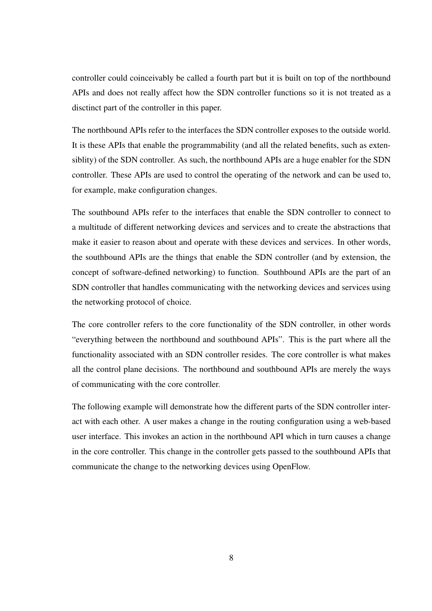controller could coinceivably be called a fourth part but it is built on top of the northbound APIs and does not really affect how the SDN controller functions so it is not treated as a disctinct part of the controller in this paper.

The northbound APIs refer to the interfaces the SDN controller exposes to the outside world. It is these APIs that enable the programmability (and all the related benefits, such as extensiblity) of the SDN controller. As such, the northbound APIs are a huge enabler for the SDN controller. These APIs are used to control the operating of the network and can be used to, for example, make configuration changes.

The southbound APIs refer to the interfaces that enable the SDN controller to connect to a multitude of different networking devices and services and to create the abstractions that make it easier to reason about and operate with these devices and services. In other words, the southbound APIs are the things that enable the SDN controller (and by extension, the concept of software-defined networking) to function. Southbound APIs are the part of an SDN controller that handles communicating with the networking devices and services using the networking protocol of choice.

The core controller refers to the core functionality of the SDN controller, in other words "everything between the northbound and southbound APIs". This is the part where all the functionality associated with an SDN controller resides. The core controller is what makes all the control plane decisions. The northbound and southbound APIs are merely the ways of communicating with the core controller.

The following example will demonstrate how the different parts of the SDN controller interact with each other. A user makes a change in the routing configuration using a web-based user interface. This invokes an action in the northbound API which in turn causes a change in the core controller. This change in the controller gets passed to the southbound APIs that communicate the change to the networking devices using OpenFlow.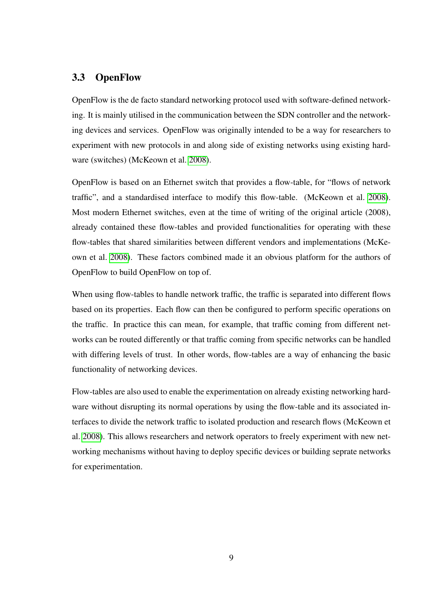## <span id="page-13-0"></span>3.3 OpenFlow

OpenFlow is the de facto standard networking protocol used with software-defined networking. It is mainly utilised in the communication between the SDN controller and the networking devices and services. OpenFlow was originally intended to be a way for researchers to experiment with new protocols in and along side of existing networks using existing hardware (switches) (McKeown et al. [2008\)](#page-37-1).

OpenFlow is based on an Ethernet switch that provides a flow-table, for "flows of network traffic", and a standardised interface to modify this flow-table. (McKeown et al. [2008\)](#page-37-1). Most modern Ethernet switches, even at the time of writing of the original article (2008), already contained these flow-tables and provided functionalities for operating with these flow-tables that shared similarities between different vendors and implementations (McKeown et al. [2008\)](#page-37-1). These factors combined made it an obvious platform for the authors of OpenFlow to build OpenFlow on top of.

When using flow-tables to handle network traffic, the traffic is separated into different flows based on its properties. Each flow can then be configured to perform specific operations on the traffic. In practice this can mean, for example, that traffic coming from different networks can be routed differently or that traffic coming from specific networks can be handled with differing levels of trust. In other words, flow-tables are a way of enhancing the basic functionality of networking devices.

Flow-tables are also used to enable the experimentation on already existing networking hardware without disrupting its normal operations by using the flow-table and its associated interfaces to divide the network traffic to isolated production and research flows (McKeown et al. [2008\)](#page-37-1). This allows researchers and network operators to freely experiment with new networking mechanisms without having to deploy specific devices or building seprate networks for experimentation.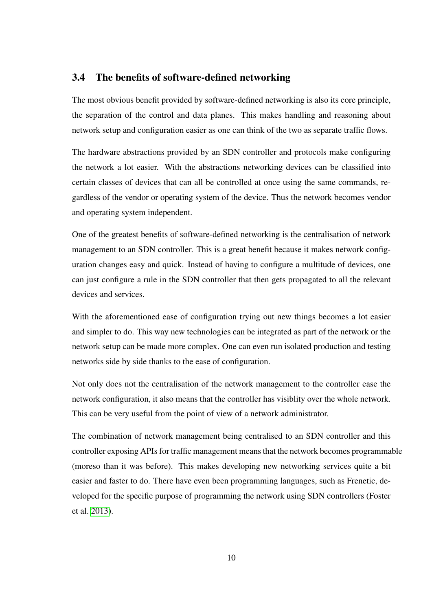## <span id="page-14-0"></span>3.4 The benefits of software-defined networking

The most obvious benefit provided by software-defined networking is also its core principle, the separation of the control and data planes. This makes handling and reasoning about network setup and configuration easier as one can think of the two as separate traffic flows.

The hardware abstractions provided by an SDN controller and protocols make configuring the network a lot easier. With the abstractions networking devices can be classified into certain classes of devices that can all be controlled at once using the same commands, regardless of the vendor or operating system of the device. Thus the network becomes vendor and operating system independent.

One of the greatest benefits of software-defined networking is the centralisation of network management to an SDN controller. This is a great benefit because it makes network configuration changes easy and quick. Instead of having to configure a multitude of devices, one can just configure a rule in the SDN controller that then gets propagated to all the relevant devices and services.

With the aforementioned ease of configuration trying out new things becomes a lot easier and simpler to do. This way new technologies can be integrated as part of the network or the network setup can be made more complex. One can even run isolated production and testing networks side by side thanks to the ease of configuration.

Not only does not the centralisation of the network management to the controller ease the network configuration, it also means that the controller has visiblity over the whole network. This can be very useful from the point of view of a network administrator.

The combination of network management being centralised to an SDN controller and this controller exposing APIs for traffic management means that the network becomes programmable (moreso than it was before). This makes developing new networking services quite a bit easier and faster to do. There have even been programming languages, such as Frenetic, developed for the specific purpose of programming the network using SDN controllers (Foster et al. [2013\)](#page-36-6).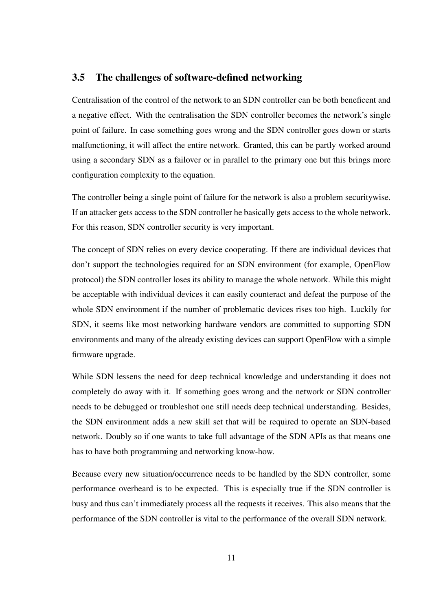## <span id="page-15-0"></span>3.5 The challenges of software-defined networking

Centralisation of the control of the network to an SDN controller can be both beneficent and a negative effect. With the centralisation the SDN controller becomes the network's single point of failure. In case something goes wrong and the SDN controller goes down or starts malfunctioning, it will affect the entire network. Granted, this can be partly worked around using a secondary SDN as a failover or in parallel to the primary one but this brings more configuration complexity to the equation.

The controller being a single point of failure for the network is also a problem securitywise. If an attacker gets access to the SDN controller he basically gets access to the whole network. For this reason, SDN controller security is very important.

The concept of SDN relies on every device cooperating. If there are individual devices that don't support the technologies required for an SDN environment (for example, OpenFlow protocol) the SDN controller loses its ability to manage the whole network. While this might be acceptable with individual devices it can easily counteract and defeat the purpose of the whole SDN environment if the number of problematic devices rises too high. Luckily for SDN, it seems like most networking hardware vendors are committed to supporting SDN environments and many of the already existing devices can support OpenFlow with a simple firmware upgrade.

While SDN lessens the need for deep technical knowledge and understanding it does not completely do away with it. If something goes wrong and the network or SDN controller needs to be debugged or troubleshot one still needs deep technical understanding. Besides, the SDN environment adds a new skill set that will be required to operate an SDN-based network. Doubly so if one wants to take full advantage of the SDN APIs as that means one has to have both programming and networking know-how.

Because every new situation/occurrence needs to be handled by the SDN controller, some performance overheard is to be expected. This is especially true if the SDN controller is busy and thus can't immediately process all the requests it receives. This also means that the performance of the SDN controller is vital to the performance of the overall SDN network.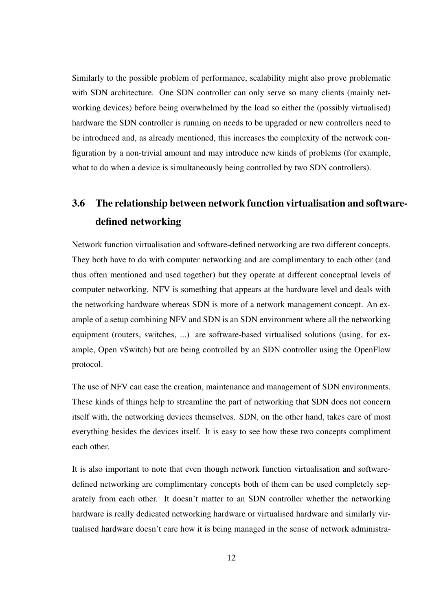Similarly to the possible problem of performance, scalability might also prove problematic with SDN architecture. One SDN controller can only serve so many clients (mainly networking devices) before being overwhelmed by the load so either the (possibly virtualised) hardware the SDN controller is running on needs to be upgraded or new controllers need to be introduced and, as already mentioned, this increases the complexity of the network configuration by a non-trivial amount and may introduce new kinds of problems (for example, what to do when a device is simultaneously being controlled by two SDN controllers).

# <span id="page-16-0"></span>3.6 The relationship between network function virtualisation and softwaredefined networking

Network function virtualisation and software-defined networking are two different concepts. They both have to do with computer networking and are complimentary to each other (and thus often mentioned and used together) but they operate at different conceptual levels of computer networking. NFV is something that appears at the hardware level and deals with the networking hardware whereas SDN is more of a network management concept. An example of a setup combining NFV and SDN is an SDN environment where all the networking equipment (routers, switches, ...) are software-based virtualised solutions (using, for example, Open vSwitch) but are being controlled by an SDN controller using the OpenFlow protocol.

The use of NFV can ease the creation, maintenance and management of SDN environments. These kinds of things help to streamline the part of networking that SDN does not concern itself with, the networking devices themselves. SDN, on the other hand, takes care of most everything besides the devices itself. It is easy to see how these two concepts compliment each other.

It is also important to note that even though network function virtualisation and softwaredefined networking are complimentary concepts both of them can be used completely separately from each other. It doesn't matter to an SDN controller whether the networking hardware is really dedicated networking hardware or virtualised hardware and similarly virtualised hardware doesn't care how it is being managed in the sense of network administra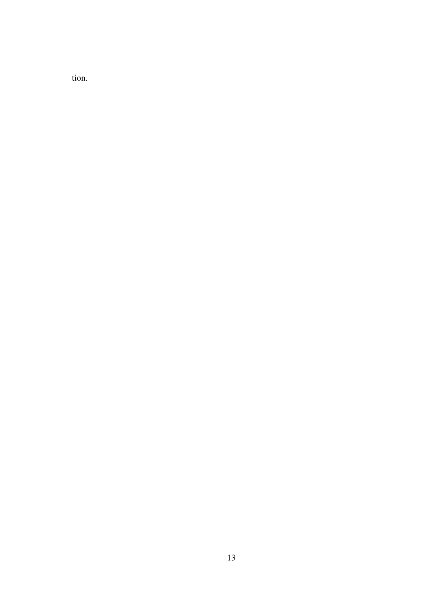tion.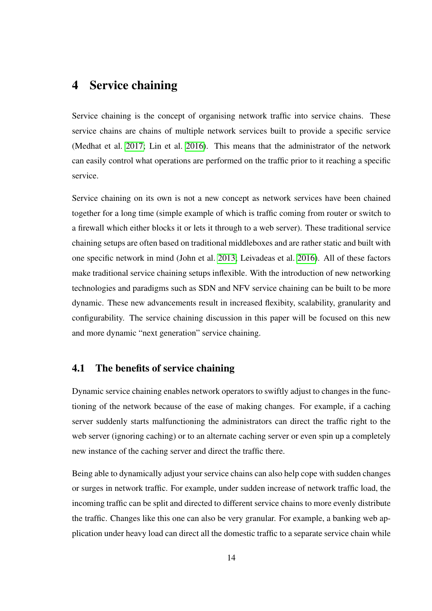# <span id="page-18-0"></span>4 Service chaining

Service chaining is the concept of organising network traffic into service chains. These service chains are chains of multiple network services built to provide a specific service (Medhat et al. [2017;](#page-37-2) Lin et al. [2016\)](#page-37-3). This means that the administrator of the network can easily control what operations are performed on the traffic prior to it reaching a specific service.

Service chaining on its own is not a new concept as network services have been chained together for a long time (simple example of which is traffic coming from router or switch to a firewall which either blocks it or lets it through to a web server). These traditional service chaining setups are often based on traditional middleboxes and are rather static and built with one specific network in mind (John et al. [2013;](#page-37-4) Leivadeas et al. [2016\)](#page-37-5). All of these factors make traditional service chaining setups inflexible. With the introduction of new networking technologies and paradigms such as SDN and NFV service chaining can be built to be more dynamic. These new advancements result in increased flexibity, scalability, granularity and configurability. The service chaining discussion in this paper will be focused on this new and more dynamic "next generation" service chaining.

#### <span id="page-18-1"></span>4.1 The benefits of service chaining

Dynamic service chaining enables network operators to swiftly adjust to changes in the functioning of the network because of the ease of making changes. For example, if a caching server suddenly starts malfunctioning the administrators can direct the traffic right to the web server (ignoring caching) or to an alternate caching server or even spin up a completely new instance of the caching server and direct the traffic there.

Being able to dynamically adjust your service chains can also help cope with sudden changes or surges in network traffic. For example, under sudden increase of network traffic load, the incoming traffic can be split and directed to different service chains to more evenly distribute the traffic. Changes like this one can also be very granular. For example, a banking web application under heavy load can direct all the domestic traffic to a separate service chain while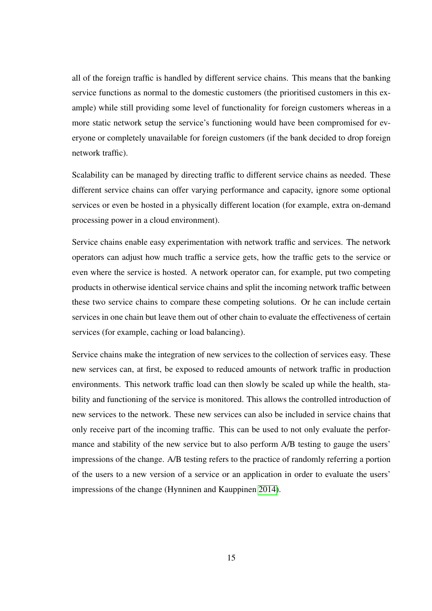all of the foreign traffic is handled by different service chains. This means that the banking service functions as normal to the domestic customers (the prioritised customers in this example) while still providing some level of functionality for foreign customers whereas in a more static network setup the service's functioning would have been compromised for everyone or completely unavailable for foreign customers (if the bank decided to drop foreign network traffic).

Scalability can be managed by directing traffic to different service chains as needed. These different service chains can offer varying performance and capacity, ignore some optional services or even be hosted in a physically different location (for example, extra on-demand processing power in a cloud environment).

Service chains enable easy experimentation with network traffic and services. The network operators can adjust how much traffic a service gets, how the traffic gets to the service or even where the service is hosted. A network operator can, for example, put two competing products in otherwise identical service chains and split the incoming network traffic between these two service chains to compare these competing solutions. Or he can include certain services in one chain but leave them out of other chain to evaluate the effectiveness of certain services (for example, caching or load balancing).

Service chains make the integration of new services to the collection of services easy. These new services can, at first, be exposed to reduced amounts of network traffic in production environments. This network traffic load can then slowly be scaled up while the health, stability and functioning of the service is monitored. This allows the controlled introduction of new services to the network. These new services can also be included in service chains that only receive part of the incoming traffic. This can be used to not only evaluate the performance and stability of the new service but to also perform A/B testing to gauge the users' impressions of the change. A/B testing refers to the practice of randomly referring a portion of the users to a new version of a service or an application in order to evaluate the users' impressions of the change (Hynninen and Kauppinen [2014\)](#page-36-7).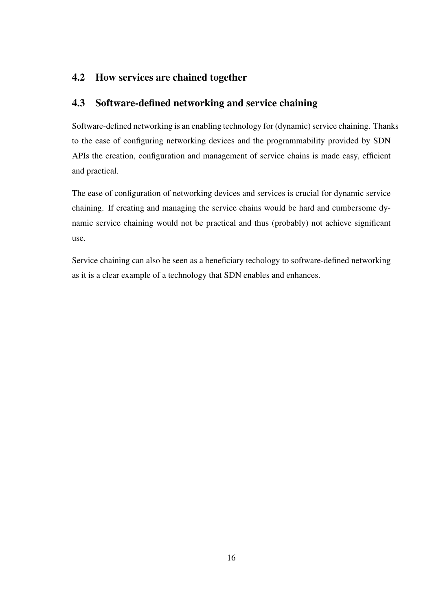## <span id="page-20-1"></span><span id="page-20-0"></span>4.2 How services are chained together

## 4.3 Software-defined networking and service chaining

Software-defined networking is an enabling technology for (dynamic) service chaining. Thanks to the ease of configuring networking devices and the programmability provided by SDN APIs the creation, configuration and management of service chains is made easy, efficient and practical.

The ease of configuration of networking devices and services is crucial for dynamic service chaining. If creating and managing the service chains would be hard and cumbersome dynamic service chaining would not be practical and thus (probably) not achieve significant use.

Service chaining can also be seen as a beneficiary techology to software-defined networking as it is a clear example of a technology that SDN enables and enhances.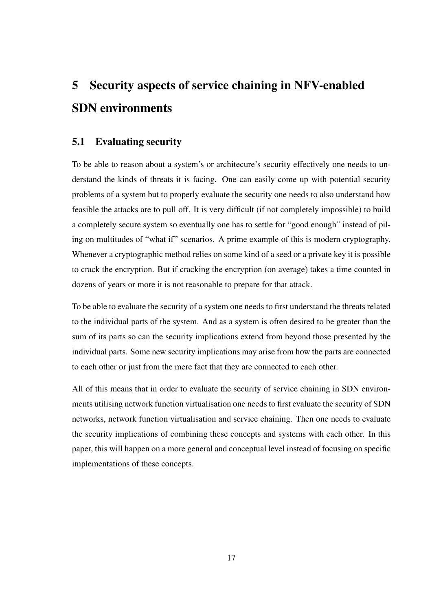# <span id="page-21-0"></span>5 Security aspects of service chaining in NFV-enabled SDN environments

## <span id="page-21-1"></span>5.1 Evaluating security

To be able to reason about a system's or architecure's security effectively one needs to understand the kinds of threats it is facing. One can easily come up with potential security problems of a system but to properly evaluate the security one needs to also understand how feasible the attacks are to pull off. It is very difficult (if not completely impossible) to build a completely secure system so eventually one has to settle for "good enough" instead of piling on multitudes of "what if" scenarios. A prime example of this is modern cryptography. Whenever a cryptographic method relies on some kind of a seed or a private key it is possible to crack the encryption. But if cracking the encryption (on average) takes a time counted in dozens of years or more it is not reasonable to prepare for that attack.

To be able to evaluate the security of a system one needs to first understand the threats related to the individual parts of the system. And as a system is often desired to be greater than the sum of its parts so can the security implications extend from beyond those presented by the individual parts. Some new security implications may arise from how the parts are connected to each other or just from the mere fact that they are connected to each other.

All of this means that in order to evaluate the security of service chaining in SDN environments utilising network function virtualisation one needs to first evaluate the security of SDN networks, network function virtualisation and service chaining. Then one needs to evaluate the security implications of combining these concepts and systems with each other. In this paper, this will happen on a more general and conceptual level instead of focusing on specific implementations of these concepts.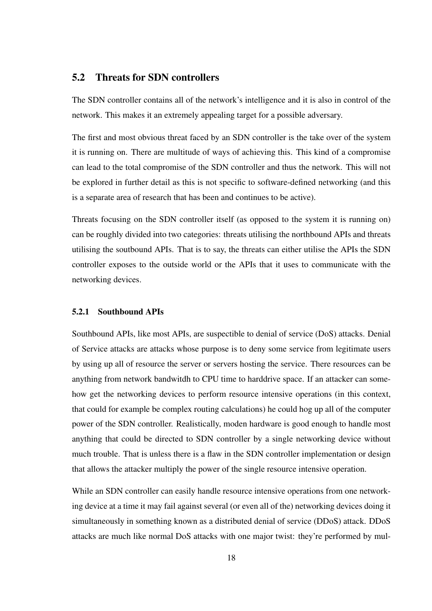## <span id="page-22-0"></span>5.2 Threats for SDN controllers

The SDN controller contains all of the network's intelligence and it is also in control of the network. This makes it an extremely appealing target for a possible adversary.

The first and most obvious threat faced by an SDN controller is the take over of the system it is running on. There are multitude of ways of achieving this. This kind of a compromise can lead to the total compromise of the SDN controller and thus the network. This will not be explored in further detail as this is not specific to software-defined networking (and this is a separate area of research that has been and continues to be active).

Threats focusing on the SDN controller itself (as opposed to the system it is running on) can be roughly divided into two categories: threats utilising the northbound APIs and threats utilising the soutbound APIs. That is to say, the threats can either utilise the APIs the SDN controller exposes to the outside world or the APIs that it uses to communicate with the networking devices.

#### <span id="page-22-1"></span>5.2.1 Southbound APIs

Southbound APIs, like most APIs, are suspectible to denial of service (DoS) attacks. Denial of Service attacks are attacks whose purpose is to deny some service from legitimate users by using up all of resource the server or servers hosting the service. There resources can be anything from network bandwitdh to CPU time to harddrive space. If an attacker can somehow get the networking devices to perform resource intensive operations (in this context, that could for example be complex routing calculations) he could hog up all of the computer power of the SDN controller. Realistically, moden hardware is good enough to handle most anything that could be directed to SDN controller by a single networking device without much trouble. That is unless there is a flaw in the SDN controller implementation or design that allows the attacker multiply the power of the single resource intensive operation.

While an SDN controller can easily handle resource intensive operations from one networking device at a time it may fail against several (or even all of the) networking devices doing it simultaneously in something known as a distributed denial of service (DDoS) attack. DDoS attacks are much like normal DoS attacks with one major twist: they're performed by mul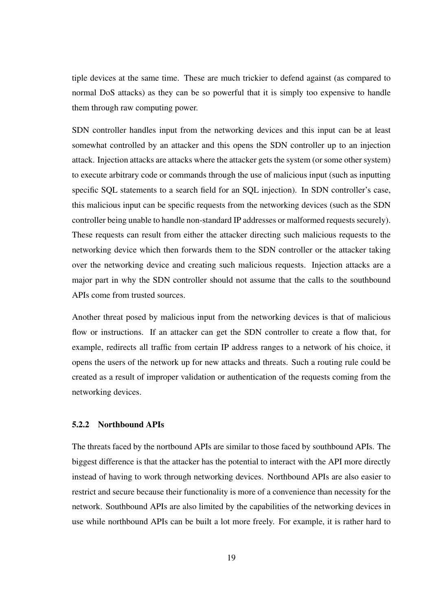tiple devices at the same time. These are much trickier to defend against (as compared to normal DoS attacks) as they can be so powerful that it is simply too expensive to handle them through raw computing power.

SDN controller handles input from the networking devices and this input can be at least somewhat controlled by an attacker and this opens the SDN controller up to an injection attack. Injection attacks are attacks where the attacker gets the system (or some other system) to execute arbitrary code or commands through the use of malicious input (such as inputting specific SQL statements to a search field for an SQL injection). In SDN controller's case, this malicious input can be specific requests from the networking devices (such as the SDN controller being unable to handle non-standard IP addresses or malformed requests securely). These requests can result from either the attacker directing such malicious requests to the networking device which then forwards them to the SDN controller or the attacker taking over the networking device and creating such malicious requests. Injection attacks are a major part in why the SDN controller should not assume that the calls to the southbound APIs come from trusted sources.

Another threat posed by malicious input from the networking devices is that of malicious flow or instructions. If an attacker can get the SDN controller to create a flow that, for example, redirects all traffic from certain IP address ranges to a network of his choice, it opens the users of the network up for new attacks and threats. Such a routing rule could be created as a result of improper validation or authentication of the requests coming from the networking devices.

#### <span id="page-23-0"></span>5.2.2 Northbound APIs

The threats faced by the nortbound APIs are similar to those faced by southbound APIs. The biggest difference is that the attacker has the potential to interact with the API more directly instead of having to work through networking devices. Northbound APIs are also easier to restrict and secure because their functionality is more of a convenience than necessity for the network. Southbound APIs are also limited by the capabilities of the networking devices in use while northbound APIs can be built a lot more freely. For example, it is rather hard to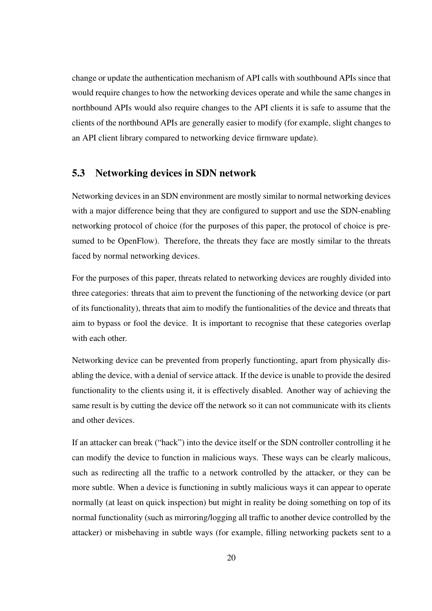change or update the authentication mechanism of API calls with southbound APIs since that would require changes to how the networking devices operate and while the same changes in northbound APIs would also require changes to the API clients it is safe to assume that the clients of the northbound APIs are generally easier to modify (for example, slight changes to an API client library compared to networking device firmware update).

## <span id="page-24-0"></span>5.3 Networking devices in SDN network

Networking devices in an SDN environment are mostly similar to normal networking devices with a major difference being that they are configured to support and use the SDN-enabling networking protocol of choice (for the purposes of this paper, the protocol of choice is presumed to be OpenFlow). Therefore, the threats they face are mostly similar to the threats faced by normal networking devices.

For the purposes of this paper, threats related to networking devices are roughly divided into three categories: threats that aim to prevent the functioning of the networking device (or part of its functionality), threats that aim to modify the funtionalities of the device and threats that aim to bypass or fool the device. It is important to recognise that these categories overlap with each other.

Networking device can be prevented from properly functionting, apart from physically disabling the device, with a denial of service attack. If the device is unable to provide the desired functionality to the clients using it, it is effectively disabled. Another way of achieving the same result is by cutting the device off the network so it can not communicate with its clients and other devices.

If an attacker can break ("hack") into the device itself or the SDN controller controlling it he can modify the device to function in malicious ways. These ways can be clearly malicous, such as redirecting all the traffic to a network controlled by the attacker, or they can be more subtle. When a device is functioning in subtly malicious ways it can appear to operate normally (at least on quick inspection) but might in reality be doing something on top of its normal functionality (such as mirroring/logging all traffic to another device controlled by the attacker) or misbehaving in subtle ways (for example, filling networking packets sent to a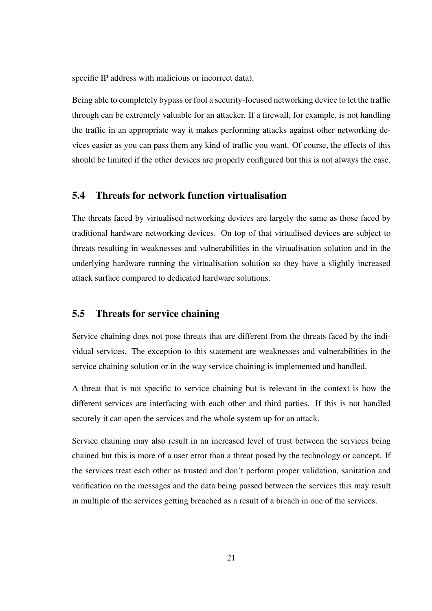specific IP address with malicious or incorrect data).

Being able to completely bypass or fool a security-focused networking device to let the traffic through can be extremely valuable for an attacker. If a firewall, for example, is not handling the traffic in an appropriate way it makes performing attacks against other networking devices easier as you can pass them any kind of traffic you want. Of course, the effects of this should be limited if the other devices are properly configured but this is not always the case.

## <span id="page-25-0"></span>5.4 Threats for network function virtualisation

The threats faced by virtualised networking devices are largely the same as those faced by traditional hardware networking devices. On top of that virtualised devices are subject to threats resulting in weaknesses and vulnerabilities in the virtualisation solution and in the underlying hardware running the virtualisation solution so they have a slightly increased attack surface compared to dedicated hardware solutions.

## <span id="page-25-1"></span>5.5 Threats for service chaining

Service chaining does not pose threats that are different from the threats faced by the individual services. The exception to this statement are weaknesses and vulnerabilities in the service chaining solution or in the way service chaining is implemented and handled.

A threat that is not specific to service chaining but is relevant in the context is how the different services are interfacing with each other and third parties. If this is not handled securely it can open the services and the whole system up for an attack.

Service chaining may also result in an increased level of trust between the services being chained but this is more of a user error than a threat posed by the technology or concept. If the services treat each other as trusted and don't perform proper validation, sanitation and verification on the messages and the data being passed between the services this may result in multiple of the services getting breached as a result of a breach in one of the services.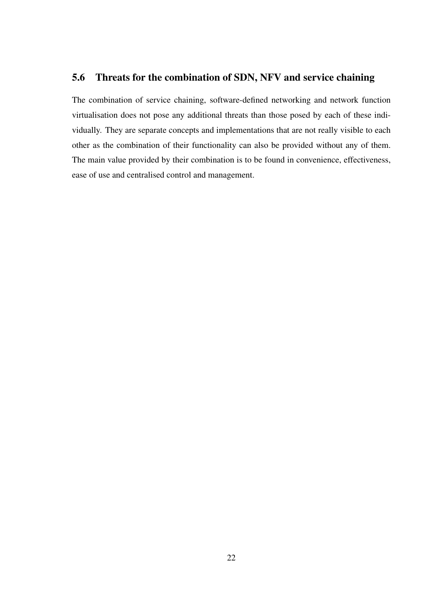## <span id="page-26-0"></span>5.6 Threats for the combination of SDN, NFV and service chaining

The combination of service chaining, software-defined networking and network function virtualisation does not pose any additional threats than those posed by each of these individually. They are separate concepts and implementations that are not really visible to each other as the combination of their functionality can also be provided without any of them. The main value provided by their combination is to be found in convenience, effectiveness, ease of use and centralised control and management.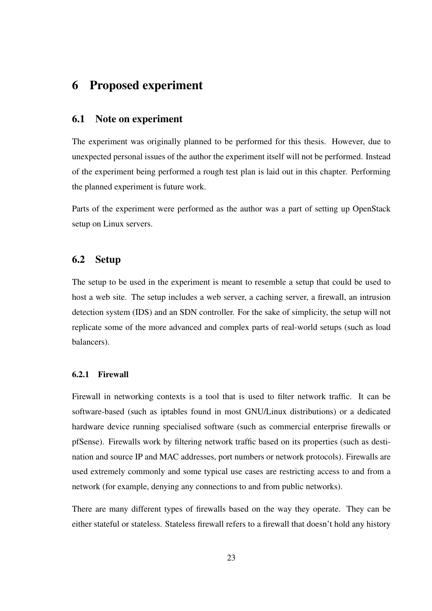# <span id="page-27-0"></span>6 Proposed experiment

#### <span id="page-27-1"></span>6.1 Note on experiment

The experiment was originally planned to be performed for this thesis. However, due to unexpected personal issues of the author the experiment itself will not be performed. Instead of the experiment being performed a rough test plan is laid out in this chapter. Performing the planned experiment is future work.

Parts of the experiment were performed as the author was a part of setting up OpenStack setup on Linux servers.

## <span id="page-27-2"></span>6.2 Setup

The setup to be used in the experiment is meant to resemble a setup that could be used to host a web site. The setup includes a web server, a caching server, a firewall, an intrusion detection system (IDS) and an SDN controller. For the sake of simplicity, the setup will not replicate some of the more advanced and complex parts of real-world setups (such as load balancers).

#### <span id="page-27-3"></span>6.2.1 Firewall

Firewall in networking contexts is a tool that is used to filter network traffic. It can be software-based (such as iptables found in most GNU/Linux distributions) or a dedicated hardware device running specialised software (such as commercial enterprise firewalls or pfSense). Firewalls work by filtering network traffic based on its properties (such as destination and source IP and MAC addresses, port numbers or network protocols). Firewalls are used extremely commonly and some typical use cases are restricting access to and from a network (for example, denying any connections to and from public networks).

There are many different types of firewalls based on the way they operate. They can be either stateful or stateless. Stateless firewall refers to a firewall that doesn't hold any history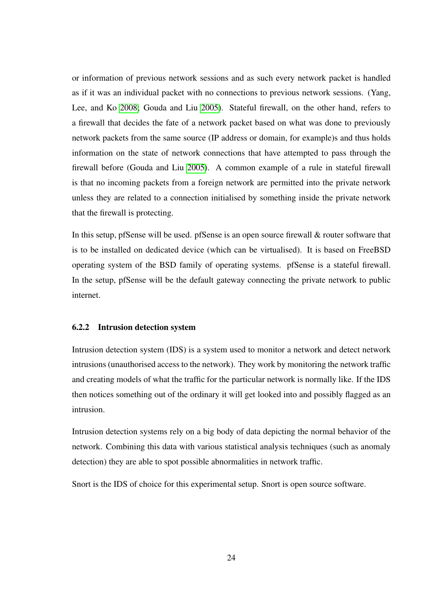or information of previous network sessions and as such every network packet is handled as if it was an individual packet with no connections to previous network sessions. (Yang, Lee, and Ko [2008;](#page-37-6) Gouda and Liu [2005\)](#page-36-8). Stateful firewall, on the other hand, refers to a firewall that decides the fate of a network packet based on what was done to previously network packets from the same source (IP address or domain, for example)s and thus holds information on the state of network connections that have attempted to pass through the firewall before (Gouda and Liu [2005\)](#page-36-8). A common example of a rule in stateful firewall is that no incoming packets from a foreign network are permitted into the private network unless they are related to a connection initialised by something inside the private network that the firewall is protecting.

In this setup, pfSense will be used. pfSense is an open source firewall & router software that is to be installed on dedicated device (which can be virtualised). It is based on FreeBSD operating system of the BSD family of operating systems. pfSense is a stateful firewall. In the setup, pfSense will be the default gateway connecting the private network to public internet.

#### <span id="page-28-0"></span>6.2.2 Intrusion detection system

Intrusion detection system (IDS) is a system used to monitor a network and detect network intrusions (unauthorised access to the network). They work by monitoring the network traffic and creating models of what the traffic for the particular network is normally like. If the IDS then notices something out of the ordinary it will get looked into and possibly flagged as an intrusion.

Intrusion detection systems rely on a big body of data depicting the normal behavior of the network. Combining this data with various statistical analysis techniques (such as anomaly detection) they are able to spot possible abnormalities in network traffic.

Snort is the IDS of choice for this experimental setup. Snort is open source software.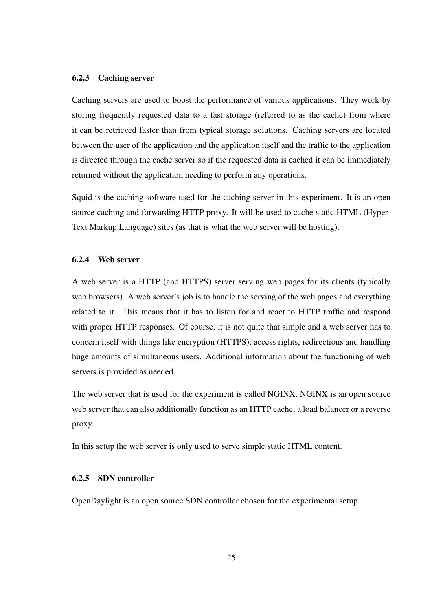#### <span id="page-29-0"></span>6.2.3 Caching server

Caching servers are used to boost the performance of various applications. They work by storing frequently requested data to a fast storage (referred to as the cache) from where it can be retrieved faster than from typical storage solutions. Caching servers are located between the user of the application and the application itself and the traffic to the application is directed through the cache server so if the requested data is cached it can be immediately returned without the application needing to perform any operations.

Squid is the caching software used for the caching server in this experiment. It is an open source caching and forwarding HTTP proxy. It will be used to cache static HTML (Hyper-Text Markup Language) sites (as that is what the web server will be hosting).

#### <span id="page-29-1"></span>6.2.4 Web server

A web server is a HTTP (and HTTPS) server serving web pages for its clients (typically web browsers). A web server's job is to handle the serving of the web pages and everything related to it. This means that it has to listen for and react to HTTP traffic and respond with proper HTTP responses. Of course, it is not quite that simple and a web server has to concern itself with things like encryption (HTTPS), access rights, redirections and handling huge amounts of simultaneous users. Additional information about the functioning of web servers is provided as needed.

The web server that is used for the experiment is called NGINX. NGINX is an open source web server that can also additionally function as an HTTP cache, a load balancer or a reverse proxy.

In this setup the web server is only used to serve simple static HTML content.

#### <span id="page-29-2"></span>6.2.5 SDN controller

OpenDaylight is an open source SDN controller chosen for the experimental setup.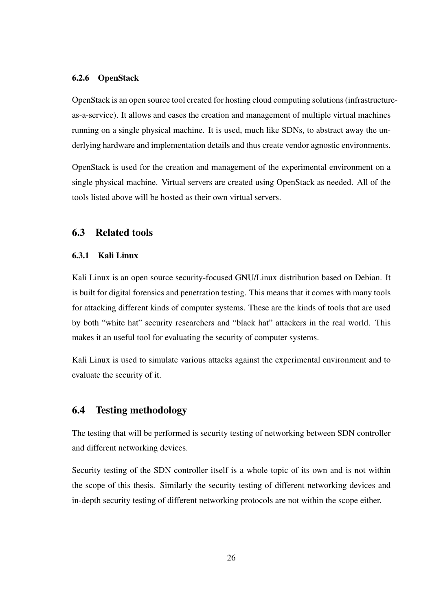#### <span id="page-30-0"></span>6.2.6 OpenStack

OpenStack is an open source tool created for hosting cloud computing solutions (infrastructureas-a-service). It allows and eases the creation and management of multiple virtual machines running on a single physical machine. It is used, much like SDNs, to abstract away the underlying hardware and implementation details and thus create vendor agnostic environments.

OpenStack is used for the creation and management of the experimental environment on a single physical machine. Virtual servers are created using OpenStack as needed. All of the tools listed above will be hosted as their own virtual servers.

#### <span id="page-30-2"></span><span id="page-30-1"></span>6.3 Related tools

#### 6.3.1 Kali Linux

Kali Linux is an open source security-focused GNU/Linux distribution based on Debian. It is built for digital forensics and penetration testing. This means that it comes with many tools for attacking different kinds of computer systems. These are the kinds of tools that are used by both "white hat" security researchers and "black hat" attackers in the real world. This makes it an useful tool for evaluating the security of computer systems.

Kali Linux is used to simulate various attacks against the experimental environment and to evaluate the security of it.

## <span id="page-30-3"></span>6.4 Testing methodology

The testing that will be performed is security testing of networking between SDN controller and different networking devices.

Security testing of the SDN controller itself is a whole topic of its own and is not within the scope of this thesis. Similarly the security testing of different networking devices and in-depth security testing of different networking protocols are not within the scope either.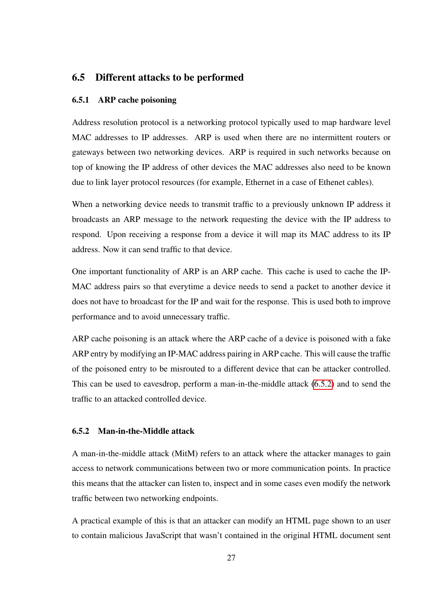## <span id="page-31-1"></span><span id="page-31-0"></span>6.5 Different attacks to be performed

#### 6.5.1 ARP cache poisoning

Address resolution protocol is a networking protocol typically used to map hardware level MAC addresses to IP addresses. ARP is used when there are no intermittent routers or gateways between two networking devices. ARP is required in such networks because on top of knowing the IP address of other devices the MAC addresses also need to be known due to link layer protocol resources (for example, Ethernet in a case of Ethenet cables).

When a networking device needs to transmit traffic to a previously unknown IP address it broadcasts an ARP message to the network requesting the device with the IP address to respond. Upon receiving a response from a device it will map its MAC address to its IP address. Now it can send traffic to that device.

One important functionality of ARP is an ARP cache. This cache is used to cache the IP-MAC address pairs so that everytime a device needs to send a packet to another device it does not have to broadcast for the IP and wait for the response. This is used both to improve performance and to avoid unnecessary traffic.

ARP cache poisoning is an attack where the ARP cache of a device is poisoned with a fake ARP entry by modifying an IP-MAC address pairing in ARP cache. This will cause the traffic of the poisoned entry to be misrouted to a different device that can be attacker controlled. This can be used to eavesdrop, perform a man-in-the-middle attack [\(6.5.2\)](#page-31-2) and to send the traffic to an attacked controlled device.

#### <span id="page-31-2"></span>6.5.2 Man-in-the-Middle attack

A man-in-the-middle attack (MitM) refers to an attack where the attacker manages to gain access to network communications between two or more communication points. In practice this means that the attacker can listen to, inspect and in some cases even modify the network traffic between two networking endpoints.

A practical example of this is that an attacker can modify an HTML page shown to an user to contain malicious JavaScript that wasn't contained in the original HTML document sent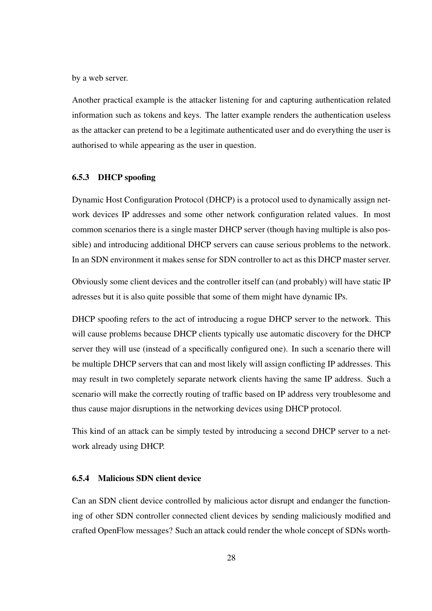by a web server.

Another practical example is the attacker listening for and capturing authentication related information such as tokens and keys. The latter example renders the authentication useless as the attacker can pretend to be a legitimate authenticated user and do everything the user is authorised to while appearing as the user in question.

#### <span id="page-32-0"></span>6.5.3 DHCP spoofing

Dynamic Host Configuration Protocol (DHCP) is a protocol used to dynamically assign network devices IP addresses and some other network configuration related values. In most common scenarios there is a single master DHCP server (though having multiple is also possible) and introducing additional DHCP servers can cause serious problems to the network. In an SDN environment it makes sense for SDN controller to act as this DHCP master server.

Obviously some client devices and the controller itself can (and probably) will have static IP adresses but it is also quite possible that some of them might have dynamic IPs.

DHCP spoofing refers to the act of introducing a rogue DHCP server to the network. This will cause problems because DHCP clients typically use automatic discovery for the DHCP server they will use (instead of a specifically configured one). In such a scenario there will be multiple DHCP servers that can and most likely will assign conflicting IP addresses. This may result in two completely separate network clients having the same IP address. Such a scenario will make the correctly routing of traffic based on IP address very troublesome and thus cause major disruptions in the networking devices using DHCP protocol.

This kind of an attack can be simply tested by introducing a second DHCP server to a network already using DHCP.

#### <span id="page-32-1"></span>6.5.4 Malicious SDN client device

Can an SDN client device controlled by malicious actor disrupt and endanger the functioning of other SDN controller connected client devices by sending maliciously modified and crafted OpenFlow messages? Such an attack could render the whole concept of SDNs worth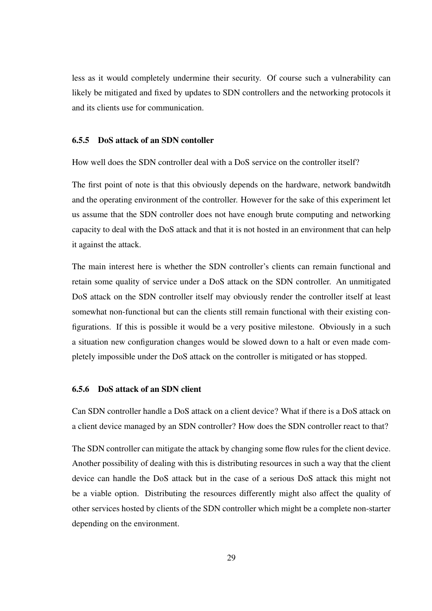less as it would completely undermine their security. Of course such a vulnerability can likely be mitigated and fixed by updates to SDN controllers and the networking protocols it and its clients use for communication.

#### <span id="page-33-0"></span>6.5.5 DoS attack of an SDN contoller

How well does the SDN controller deal with a DoS service on the controller itself?

The first point of note is that this obviously depends on the hardware, network bandwitdh and the operating environment of the controller. However for the sake of this experiment let us assume that the SDN controller does not have enough brute computing and networking capacity to deal with the DoS attack and that it is not hosted in an environment that can help it against the attack.

The main interest here is whether the SDN controller's clients can remain functional and retain some quality of service under a DoS attack on the SDN controller. An unmitigated DoS attack on the SDN controller itself may obviously render the controller itself at least somewhat non-functional but can the clients still remain functional with their existing configurations. If this is possible it would be a very positive milestone. Obviously in a such a situation new configuration changes would be slowed down to a halt or even made completely impossible under the DoS attack on the controller is mitigated or has stopped.

#### <span id="page-33-1"></span>6.5.6 DoS attack of an SDN client

Can SDN controller handle a DoS attack on a client device? What if there is a DoS attack on a client device managed by an SDN controller? How does the SDN controller react to that?

The SDN controller can mitigate the attack by changing some flow rules for the client device. Another possibility of dealing with this is distributing resources in such a way that the client device can handle the DoS attack but in the case of a serious DoS attack this might not be a viable option. Distributing the resources differently might also affect the quality of other services hosted by clients of the SDN controller which might be a complete non-starter depending on the environment.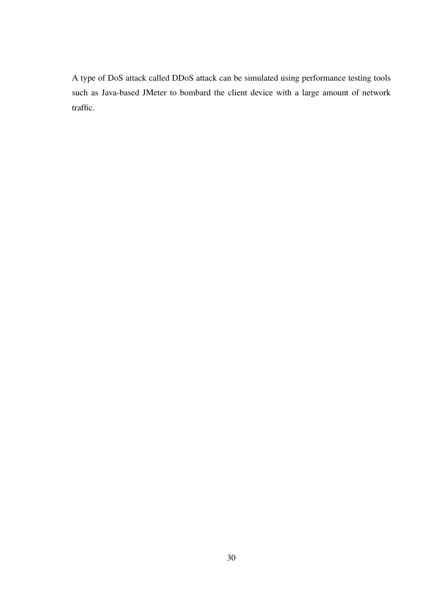A type of DoS attack called DDoS attack can be simulated using performance testing tools such as Java-based JMeter to bombard the client device with a large amount of network traffic.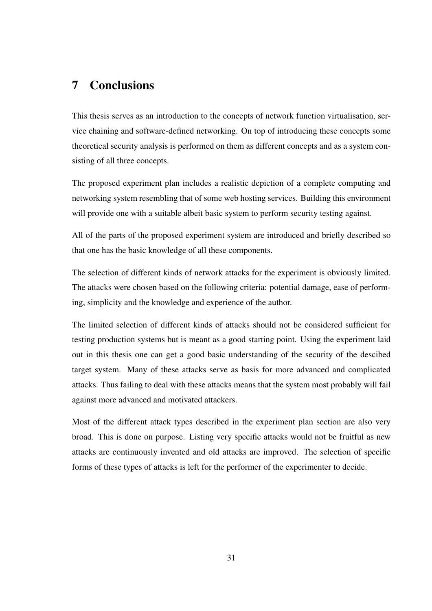# <span id="page-35-0"></span>7 Conclusions

This thesis serves as an introduction to the concepts of network function virtualisation, service chaining and software-defined networking. On top of introducing these concepts some theoretical security analysis is performed on them as different concepts and as a system consisting of all three concepts.

The proposed experiment plan includes a realistic depiction of a complete computing and networking system resembling that of some web hosting services. Building this environment will provide one with a suitable albeit basic system to perform security testing against.

All of the parts of the proposed experiment system are introduced and briefly described so that one has the basic knowledge of all these components.

The selection of different kinds of network attacks for the experiment is obviously limited. The attacks were chosen based on the following criteria: potential damage, ease of performing, simplicity and the knowledge and experience of the author.

The limited selection of different kinds of attacks should not be considered sufficient for testing production systems but is meant as a good starting point. Using the experiment laid out in this thesis one can get a good basic understanding of the security of the descibed target system. Many of these attacks serve as basis for more advanced and complicated attacks. Thus failing to deal with these attacks means that the system most probably will fail against more advanced and motivated attackers.

Most of the different attack types described in the experiment plan section are also very broad. This is done on purpose. Listing very specific attacks would not be fruitful as new attacks are continuously invented and old attacks are improved. The selection of specific forms of these types of attacks is left for the performer of the experimenter to decide.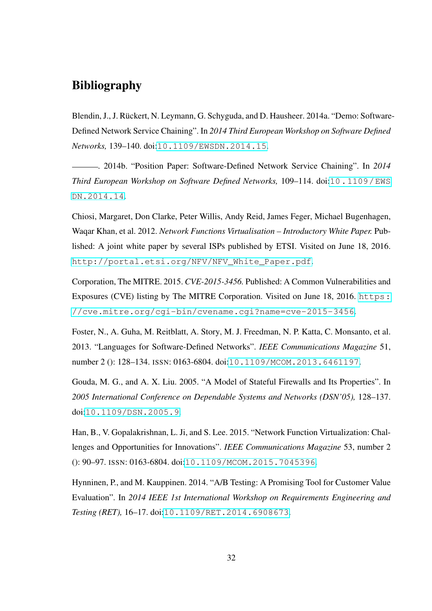# Bibliography

<span id="page-36-3"></span><span id="page-36-0"></span>Blendin, J., J. Rückert, N. Leymann, G. Schyguda, and D. Hausheer. 2014a. "Demo: Software-Defined Network Service Chaining". In *2014 Third European Workshop on Software Defined Networks,* 139–140. doi:[10.1109/EWSDN.2014.15](http://dx.doi.org/10.1109/EWSDN.2014.15).

<span id="page-36-2"></span>. 2014b. "Position Paper: Software-Defined Network Service Chaining". In *2014 Third European Workshop on Software Defined Networks,* 109–114. doi:[10.1109/EWS](http://dx.doi.org/10.1109/EWSDN.2014.14) [DN.2014.14](http://dx.doi.org/10.1109/EWSDN.2014.14).

<span id="page-36-1"></span>Chiosi, Margaret, Don Clarke, Peter Willis, Andy Reid, James Feger, Michael Bugenhagen, Waqar Khan, et al. 2012. *Network Functions Virtualisation – Introductory White Paper.* Published: A joint white paper by several ISPs published by ETSI. Visited on June 18, 2016. [http://portal.etsi.org/NFV/NFV\\_White\\_Paper.pdf](http://portal.etsi.org/NFV/NFV_White_Paper.pdf).

<span id="page-36-5"></span>Corporation, The MITRE. 2015. *CVE-2015-3456.* Published: A Common Vulnerabilities and Exposures (CVE) listing by The MITRE Corporation. Visited on June 18, 2016. [https:](https://cve.mitre.org/cgi-bin/cvename.cgi?name=cve-2015-3456) [//cve.mitre.org/cgi-bin/cvename.cgi?name=cve-2015-3456](https://cve.mitre.org/cgi-bin/cvename.cgi?name=cve-2015-3456).

<span id="page-36-6"></span>Foster, N., A. Guha, M. Reitblatt, A. Story, M. J. Freedman, N. P. Katta, C. Monsanto, et al. 2013. "Languages for Software-Defined Networks". *IEEE Communications Magazine* 51, number 2 (): 128–134. ISSN: 0163-6804. doi:[10.1109/MCOM.2013.6461197](http://dx.doi.org/10.1109/MCOM.2013.6461197).

<span id="page-36-8"></span>Gouda, M. G., and A. X. Liu. 2005. "A Model of Stateful Firewalls and Its Properties". In *2005 International Conference on Dependable Systems and Networks (DSN'05),* 128–137. doi:[10.1109/DSN.2005.9](http://dx.doi.org/10.1109/DSN.2005.9).

<span id="page-36-4"></span>Han, B., V. Gopalakrishnan, L. Ji, and S. Lee. 2015. "Network Function Virtualization: Challenges and Opportunities for Innovations". *IEEE Communications Magazine* 53, number 2 (): 90–97. ISSN: 0163-6804. doi:[10.1109/MCOM.2015.7045396](http://dx.doi.org/10.1109/MCOM.2015.7045396).

<span id="page-36-7"></span>Hynninen, P., and M. Kauppinen. 2014. "A/B Testing: A Promising Tool for Customer Value Evaluation". In *2014 IEEE 1st International Workshop on Requirements Engineering and Testing (RET),* 16–17. doi:[10.1109/RET.2014.6908673](http://dx.doi.org/10.1109/RET.2014.6908673).